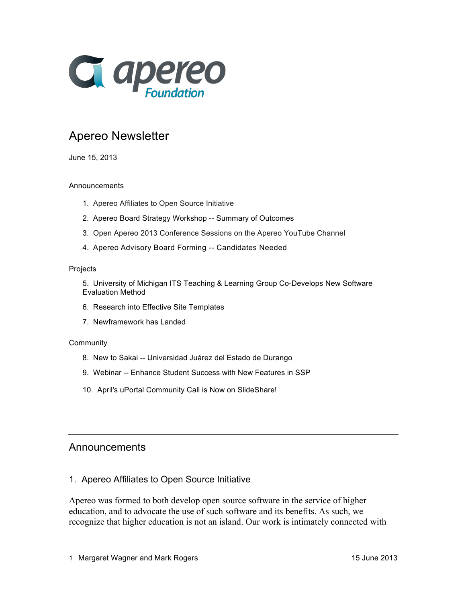

# Apereo Newsletter

June 15, 2013

#### Announcements

- 1. Apereo Affiliates to Open Source Initiative
- 2. Apereo Board Strategy Workshop -- Summary of Outcomes
- 3. Open Apereo 2013 Conference Sessions on the Apereo YouTube Channel
- 4. Apereo Advisory Board Forming -- Candidates Needed

#### **Projects**

5. University of Michigan ITS Teaching & Learning Group Co-Develops New Software Evaluation Method

- 6. Research into Effective Site Templates
- 7. Newframework has Landed

#### **Community**

- 8. New to Sakai -- Universidad Juárez del Estado de Durango
- 9. Webinar -- Enhance Student Success with New Features in SSP
- 10. April's uPortal Community Call is Now on SlideShare!

### Announcements

#### 1. Apereo Affiliates to Open Source Initiative

Apereo was formed to both develop open source software in the service of higher education, and to advocate the use of such software and its benefits. As such, we recognize that higher education is not an island. Our work is intimately connected with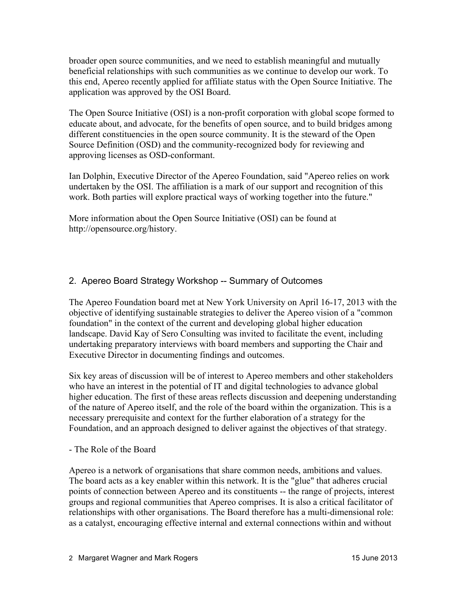broader open source communities, and we need to establish meaningful and mutually beneficial relationships with such communities as we continue to develop our work. To this end, Apereo recently applied for affiliate status with the Open Source Initiative. The application was approved by the OSI Board.

The Open Source Initiative (OSI) is a non-profit corporation with global scope formed to educate about, and advocate, for the benefits of open source, and to build bridges among different constituencies in the open source community. It is the steward of the Open Source Definition (OSD) and the community-recognized body for reviewing and approving licenses as OSD-conformant.

Ian Dolphin, Executive Director of the Apereo Foundation, said "Apereo relies on work undertaken by the OSI. The affiliation is a mark of our support and recognition of this work. Both parties will explore practical ways of working together into the future."

More information about the Open Source Initiative (OSI) can be found at http://opensource.org/history.

## 2. Apereo Board Strategy Workshop -- Summary of Outcomes

The Apereo Foundation board met at New York University on April 16-17, 2013 with the objective of identifying sustainable strategies to deliver the Apereo vision of a "common foundation" in the context of the current and developing global higher education landscape. David Kay of Sero Consulting was invited to facilitate the event, including undertaking preparatory interviews with board members and supporting the Chair and Executive Director in documenting findings and outcomes.

Six key areas of discussion will be of interest to Apereo members and other stakeholders who have an interest in the potential of IT and digital technologies to advance global higher education. The first of these areas reflects discussion and deepening understanding of the nature of Apereo itself, and the role of the board within the organization. This is a necessary prerequisite and context for the further elaboration of a strategy for the Foundation, and an approach designed to deliver against the objectives of that strategy.

### - The Role of the Board

Apereo is a network of organisations that share common needs, ambitions and values. The board acts as a key enabler within this network. It is the "glue" that adheres crucial points of connection between Apereo and its constituents -- the range of projects, interest groups and regional communities that Apereo comprises. It is also a critical facilitator of relationships with other organisations. The Board therefore has a multi-dimensional role: as a catalyst, encouraging effective internal and external connections within and without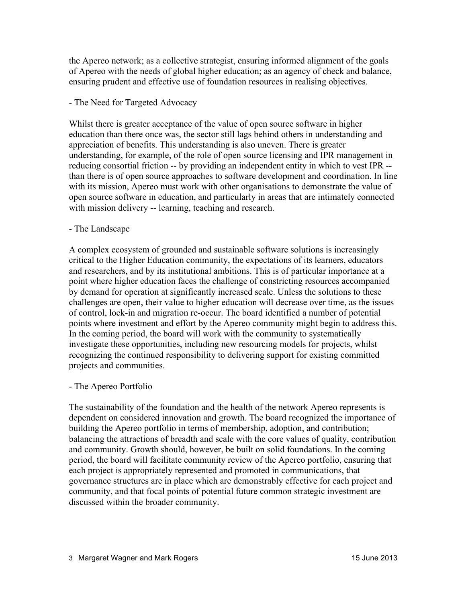the Apereo network; as a collective strategist, ensuring informed alignment of the goals of Apereo with the needs of global higher education; as an agency of check and balance, ensuring prudent and effective use of foundation resources in realising objectives.

#### - The Need for Targeted Advocacy

Whilst there is greater acceptance of the value of open source software in higher education than there once was, the sector still lags behind others in understanding and appreciation of benefits. This understanding is also uneven. There is greater understanding, for example, of the role of open source licensing and IPR management in reducing consortial friction -- by providing an independent entity in which to vest IPR - than there is of open source approaches to software development and coordination. In line with its mission, Apereo must work with other organisations to demonstrate the value of open source software in education, and particularly in areas that are intimately connected with mission delivery -- learning, teaching and research.

#### - The Landscape

A complex ecosystem of grounded and sustainable software solutions is increasingly critical to the Higher Education community, the expectations of its learners, educators and researchers, and by its institutional ambitions. This is of particular importance at a point where higher education faces the challenge of constricting resources accompanied by demand for operation at significantly increased scale. Unless the solutions to these challenges are open, their value to higher education will decrease over time, as the issues of control, lock-in and migration re-occur. The board identified a number of potential points where investment and effort by the Apereo community might begin to address this. In the coming period, the board will work with the community to systematically investigate these opportunities, including new resourcing models for projects, whilst recognizing the continued responsibility to delivering support for existing committed projects and communities.

#### - The Apereo Portfolio

The sustainability of the foundation and the health of the network Apereo represents is dependent on considered innovation and growth. The board recognized the importance of building the Apereo portfolio in terms of membership, adoption, and contribution; balancing the attractions of breadth and scale with the core values of quality, contribution and community. Growth should, however, be built on solid foundations. In the coming period, the board will facilitate community review of the Apereo portfolio, ensuring that each project is appropriately represented and promoted in communications, that governance structures are in place which are demonstrably effective for each project and community, and that focal points of potential future common strategic investment are discussed within the broader community.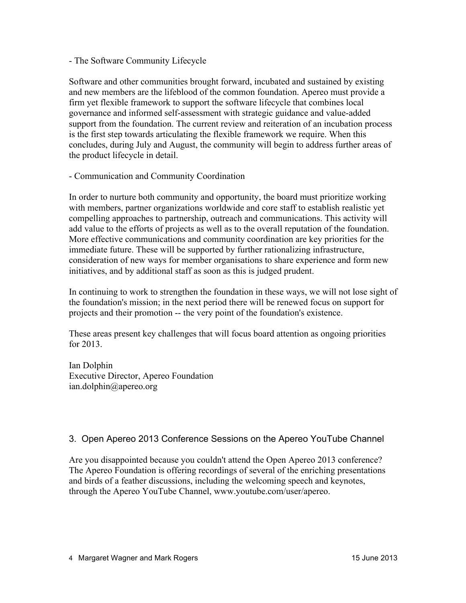#### - The Software Community Lifecycle

Software and other communities brought forward, incubated and sustained by existing and new members are the lifeblood of the common foundation. Apereo must provide a firm yet flexible framework to support the software lifecycle that combines local governance and informed self-assessment with strategic guidance and value-added support from the foundation. The current review and reiteration of an incubation process is the first step towards articulating the flexible framework we require. When this concludes, during July and August, the community will begin to address further areas of the product lifecycle in detail.

- Communication and Community Coordination

In order to nurture both community and opportunity, the board must prioritize working with members, partner organizations worldwide and core staff to establish realistic yet compelling approaches to partnership, outreach and communications. This activity will add value to the efforts of projects as well as to the overall reputation of the foundation. More effective communications and community coordination are key priorities for the immediate future. These will be supported by further rationalizing infrastructure, consideration of new ways for member organisations to share experience and form new initiatives, and by additional staff as soon as this is judged prudent.

In continuing to work to strengthen the foundation in these ways, we will not lose sight of the foundation's mission; in the next period there will be renewed focus on support for projects and their promotion -- the very point of the foundation's existence.

These areas present key challenges that will focus board attention as ongoing priorities for 2013.

Ian Dolphin Executive Director, Apereo Foundation ian.dolphin@apereo.org

## 3. Open Apereo 2013 Conference Sessions on the Apereo YouTube Channel

Are you disappointed because you couldn't attend the Open Apereo 2013 conference? The Apereo Foundation is offering recordings of several of the enriching presentations and birds of a feather discussions, including the welcoming speech and keynotes, through the Apereo YouTube Channel, www.youtube.com/user/apereo.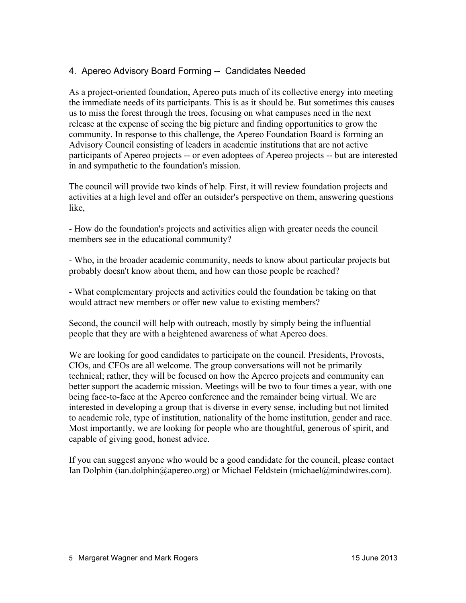## 4. Apereo Advisory Board Forming -- Candidates Needed

As a project-oriented foundation, Apereo puts much of its collective energy into meeting the immediate needs of its participants. This is as it should be. But sometimes this causes us to miss the forest through the trees, focusing on what campuses need in the next release at the expense of seeing the big picture and finding opportunities to grow the community. In response to this challenge, the Apereo Foundation Board is forming an Advisory Council consisting of leaders in academic institutions that are not active participants of Apereo projects -- or even adoptees of Apereo projects -- but are interested in and sympathetic to the foundation's mission.

The council will provide two kinds of help. First, it will review foundation projects and activities at a high level and offer an outsider's perspective on them, answering questions like,

- How do the foundation's projects and activities align with greater needs the council members see in the educational community?

- Who, in the broader academic community, needs to know about particular projects but probably doesn't know about them, and how can those people be reached?

- What complementary projects and activities could the foundation be taking on that would attract new members or offer new value to existing members?

Second, the council will help with outreach, mostly by simply being the influential people that they are with a heightened awareness of what Apereo does.

We are looking for good candidates to participate on the council. Presidents, Provosts, CIOs, and CFOs are all welcome. The group conversations will not be primarily technical; rather, they will be focused on how the Apereo projects and community can better support the academic mission. Meetings will be two to four times a year, with one being face-to-face at the Apereo conference and the remainder being virtual. We are interested in developing a group that is diverse in every sense, including but not limited to academic role, type of institution, nationality of the home institution, gender and race. Most importantly, we are looking for people who are thoughtful, generous of spirit, and capable of giving good, honest advice.

If you can suggest anyone who would be a good candidate for the council, please contact Ian Dolphin (ian.dolphin@apereo.org) or Michael Feldstein (michael@mindwires.com).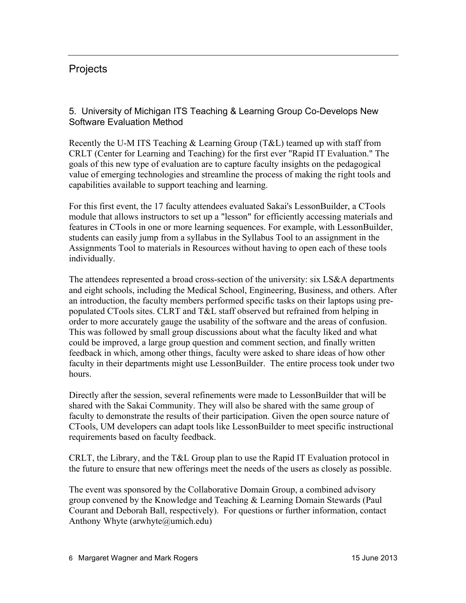# **Projects**

5. University of Michigan ITS Teaching & Learning Group Co-Develops New Software Evaluation Method

Recently the U-M ITS Teaching & Learning Group (T&L) teamed up with staff from CRLT (Center for Learning and Teaching) for the first ever "Rapid IT Evaluation." The goals of this new type of evaluation are to capture faculty insights on the pedagogical value of emerging technologies and streamline the process of making the right tools and capabilities available to support teaching and learning.

For this first event, the 17 faculty attendees evaluated Sakai's LessonBuilder, a CTools module that allows instructors to set up a "lesson" for efficiently accessing materials and features in CTools in one or more learning sequences. For example, with LessonBuilder, students can easily jump from a syllabus in the Syllabus Tool to an assignment in the Assignments Tool to materials in Resources without having to open each of these tools individually.

The attendees represented a broad cross-section of the university: six LS&A departments and eight schools, including the Medical School, Engineering, Business, and others. After an introduction, the faculty members performed specific tasks on their laptops using prepopulated CTools sites. CLRT and T&L staff observed but refrained from helping in order to more accurately gauge the usability of the software and the areas of confusion. This was followed by small group discussions about what the faculty liked and what could be improved, a large group question and comment section, and finally written feedback in which, among other things, faculty were asked to share ideas of how other faculty in their departments might use LessonBuilder. The entire process took under two hours.

Directly after the session, several refinements were made to LessonBuilder that will be shared with the Sakai Community. They will also be shared with the same group of faculty to demonstrate the results of their participation. Given the open source nature of CTools, UM developers can adapt tools like LessonBuilder to meet specific instructional requirements based on faculty feedback.

CRLT, the Library, and the T&L Group plan to use the Rapid IT Evaluation protocol in the future to ensure that new offerings meet the needs of the users as closely as possible.

The event was sponsored by the Collaborative Domain Group, a combined advisory group convened by the Knowledge and Teaching & Learning Domain Stewards (Paul Courant and Deborah Ball, respectively). For questions or further information, contact Anthony Whyte (arwhyte  $\omega$ umich.edu)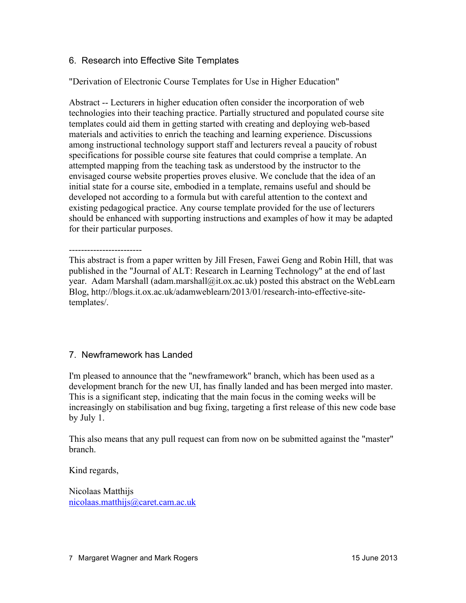### 6. Research into Effective Site Templates

"Derivation of Electronic Course Templates for Use in Higher Education"

Abstract -- Lecturers in higher education often consider the incorporation of web technologies into their teaching practice. Partially structured and populated course site templates could aid them in getting started with creating and deploying web-based materials and activities to enrich the teaching and learning experience. Discussions among instructional technology support staff and lecturers reveal a paucity of robust specifications for possible course site features that could comprise a template. An attempted mapping from the teaching task as understood by the instructor to the envisaged course website properties proves elusive. We conclude that the idea of an initial state for a course site, embodied in a template, remains useful and should be developed not according to a formula but with careful attention to the context and existing pedagogical practice. Any course template provided for the use of lecturers should be enhanced with supporting instructions and examples of how it may be adapted for their particular purposes.

------------------------ This abstract is from a paper written by Jill Fresen, Fawei Geng and Robin Hill, that was published in the "Journal of ALT: Research in Learning Technology" at the end of last year. Adam Marshall (adam.marshall@it.ox.ac.uk) posted this abstract on the WebLearn Blog, http://blogs.it.ox.ac.uk/adamweblearn/2013/01/research-into-effective-sitetemplates/.

## 7. Newframework has Landed

I'm pleased to announce that the "newframework" branch, which has been used as a development branch for the new UI, has finally landed and has been merged into master. This is a significant step, indicating that the main focus in the coming weeks will be increasingly on stabilisation and bug fixing, targeting a first release of this new code base by July 1.

This also means that any pull request can from now on be submitted against the "master" branch.

Kind regards,

Nicolaas Matthijs nicolaas.matthijs@caret.cam.ac.uk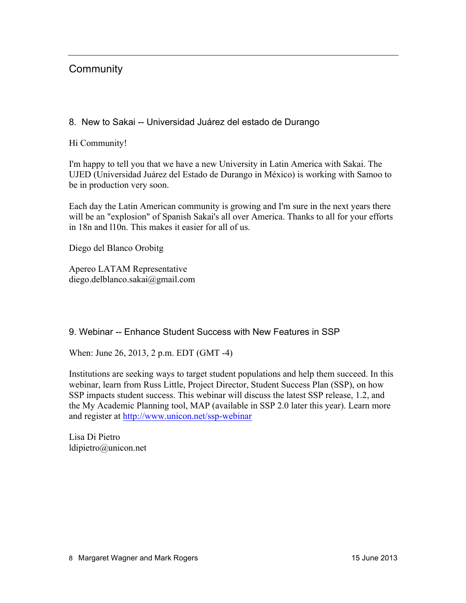# **Community**

### 8. New to Sakai -- Universidad Juárez del estado de Durango

Hi Community!

I'm happy to tell you that we have a new University in Latin America with Sakai. The UJED (Universidad Juárez del Estado de Durango in México) is working with Samoo to be in production very soon.

Each day the Latin American community is growing and I'm sure in the next years there will be an "explosion" of Spanish Sakai's all over America. Thanks to all for your efforts in 18n and l10n. This makes it easier for all of us.

Diego del Blanco Orobitg

Apereo LATAM Representative diego.delblanco.sakai@gmail.com

### 9. Webinar -- Enhance Student Success with New Features in SSP

When: June 26, 2013, 2 p.m. EDT (GMT -4)

Institutions are seeking ways to target student populations and help them succeed. In this webinar, learn from Russ Little, Project Director, Student Success Plan (SSP), on how SSP impacts student success. This webinar will discuss the latest SSP release, 1.2, and the My Academic Planning tool, MAP (available in SSP 2.0 later this year). Learn more and register at http://www.unicon.net/ssp-webinar

Lisa Di Pietro ldipietro@unicon.net